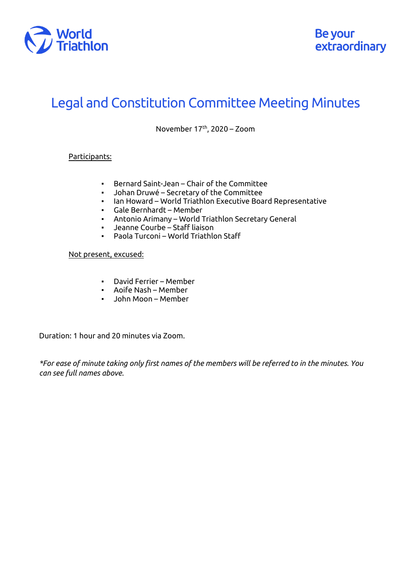

## Legal and Constitution Committee Meeting Minutes

November  $17<sup>th</sup>$ , 2020 – Zoom

## Participants:

- Bernard Saint-Jean Chair of the Committee
- Johan Druwé Secretary of the Committee
- Ian Howard World Triathlon Executive Board Representative
- Gale Bernhardt Member
- Antonio Arimany World Triathlon Secretary General
- Jeanne Courbe Staff liaison<br>▪ Paola Turconi World Triathle
- Paola Turconi World Triathlon Staff

## Not present, excused:

- David Ferrier Member
- Aoife Nash Member
- John Moon Member

Duration: 1 hour and 20 minutes via Zoom.

*\*For ease of minute taking only first names of the members will be referred to in the minutes. You can see full names above.*